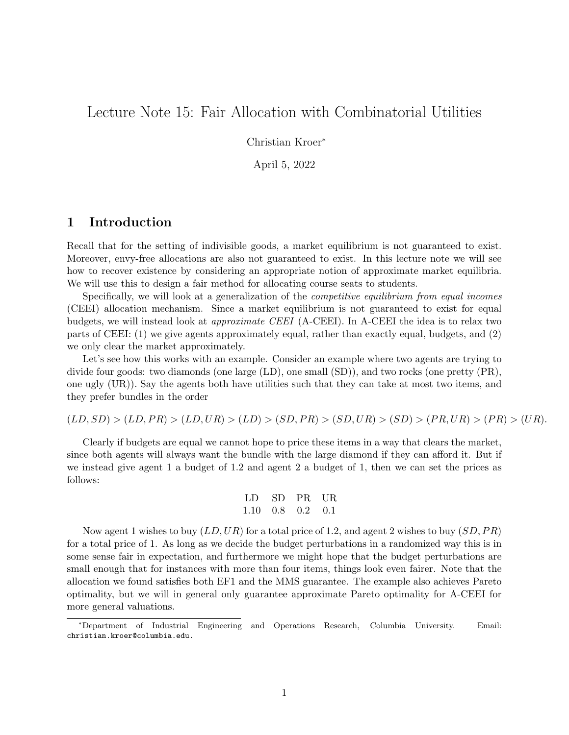# Lecture Note 15: Fair Allocation with Combinatorial Utilities

Christian Kroer<sup>∗</sup>

April 5, 2022

### 1 Introduction

Recall that for the setting of indivisible goods, a market equilibrium is not guaranteed to exist. Moreover, envy-free allocations are also not guaranteed to exist. In this lecture note we will see how to recover existence by considering an appropriate notion of approximate market equilibria. We will use this to design a fair method for allocating course seats to students.

Specifically, we will look at a generalization of the competitive equilibrium from equal incomes (CEEI) allocation mechanism. Since a market equilibrium is not guaranteed to exist for equal budgets, we will instead look at approximate CEEI (A-CEEI). In A-CEEI the idea is to relax two parts of CEEI: (1) we give agents approximately equal, rather than exactly equal, budgets, and (2) we only clear the market approximately.

Let's see how this works with an example. Consider an example where two agents are trying to divide four goods: two diamonds (one large (LD), one small (SD)), and two rocks (one pretty (PR), one ugly (UR)). Say the agents both have utilities such that they can take at most two items, and they prefer bundles in the order

 $(LD, SD) > (LD, PR) > (LD, UR) > (LD) > (SD, PR) > (SD, UR) > (SD) > (PR, UR) > (PR) > (UR).$ 

Clearly if budgets are equal we cannot hope to price these items in a way that clears the market, since both agents will always want the bundle with the large diamond if they can afford it. But if we instead give agent 1 a budget of 1.2 and agent 2 a budget of 1, then we can set the prices as follows:

LD SD PR UR 1.10 0.8 0.2 0.1

Now agent 1 wishes to buy  $(LD, UR)$  for a total price of 1.2, and agent 2 wishes to buy  $(SD, PR)$ for a total price of 1. As long as we decide the budget perturbations in a randomized way this is in some sense fair in expectation, and furthermore we might hope that the budget perturbations are small enough that for instances with more than four items, things look even fairer. Note that the allocation we found satisfies both EF1 and the MMS guarantee. The example also achieves Pareto optimality, but we will in general only guarantee approximate Pareto optimality for A-CEEI for more general valuations.

<sup>∗</sup>Department of Industrial Engineering and Operations Research, Columbia University. Email: christian.kroer@columbia.edu.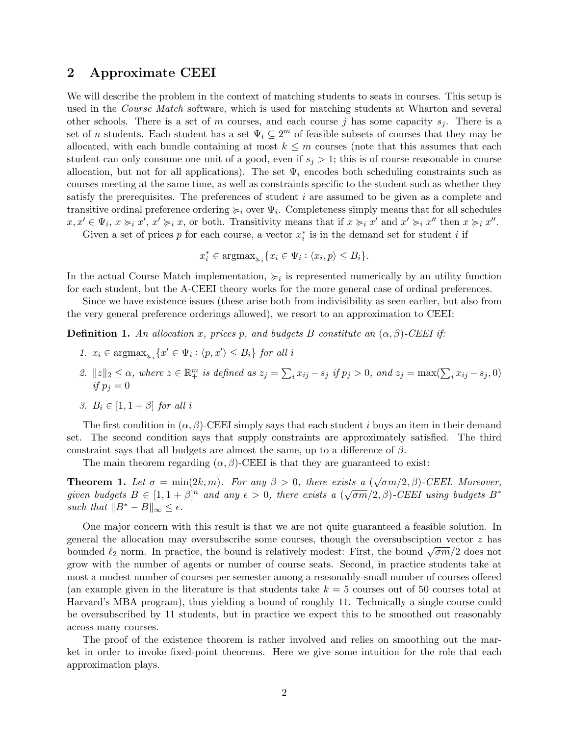### 2 Approximate CEEI

We will describe the problem in the context of matching students to seats in courses. This setup is used in the *Course Match* software, which is used for matching students at Wharton and several other schools. There is a set of m courses, and each course j has some capacity  $s_j$ . There is a set of n students. Each student has a set  $\Psi_i \subseteq 2^m$  of feasible subsets of courses that they may be allocated, with each bundle containing at most  $k \leq m$  courses (note that this assumes that each student can only consume one unit of a good, even if  $s_j > 1$ ; this is of course reasonable in course allocation, but not for all applications). The set  $\Psi_i$  encodes both scheduling constraints such as courses meeting at the same time, as well as constraints specific to the student such as whether they satisfy the prerequisites. The preferences of student i are assumed to be given as a complete and transitive ordinal preference ordering  $\succcurlyeq_i$  over  $\Psi_i$ . Completeness simply means that for all schedules  $x, x' \in \Psi_i$ ,  $x \succcurlyeq_i x'$ ,  $x' \succcurlyeq_i x$ , or both. Transitivity means that if  $x \succcurlyeq_i x'$  and  $x' \succcurlyeq_i x''$  then  $x \succcurlyeq_i x''$ .

Given a set of prices  $p$  for each course, a vector  $x_i^*$  is in the demand set for student i if

$$
x_i^* \in \operatorname{argmax}_{\succ_i} \{ x_i \in \Psi_i : \langle x_i, p \rangle \leq B_i \}.
$$

In the actual Course Match implementation,  $\geq i$  is represented numerically by an utility function for each student, but the A-CEEI theory works for the more general case of ordinal preferences.

Since we have existence issues (these arise both from indivisibility as seen earlier, but also from the very general preference orderings allowed), we resort to an approximation to CEEI:

**Definition 1.** An allocation x, prices p, and budgets B constitute an  $(\alpha, \beta)$ -CEEI if:

- 1.  $x_i \in \text{argmax}_{\succ_i} \{x' \in \Psi_i : \langle p, x' \rangle \leq B_i\}$  for all i
- 2.  $||z||_2 \leq \alpha$ , where  $z \in \mathbb{R}^m_+$  is defined as  $z_j = \sum_i x_{ij} s_j$  if  $p_j > 0$ , and  $z_j = \max(\sum_i x_{ij} s_j, 0)$ if  $p_i = 0$
- 3.  $B_i \in [1, 1 + \beta]$  for all i

The first condition in  $(\alpha, \beta)$ -CEEI simply says that each student *i* buys an item in their demand set. The second condition says that supply constraints are approximately satisfied. The third constraint says that all budgets are almost the same, up to a difference of  $\beta$ .

The main theorem regarding  $(\alpha, \beta)$ -CEEI is that they are guaranteed to exist:

**Theorem 1.** Let  $\sigma = \min(2k, m)$ . For any  $\beta > 0$ , there exists a  $(\sqrt{\sigma m}/2, \beta)$ -CEEI. Moreover, given budgets  $B \in [1, 1 + \beta]^n$  and any  $\epsilon > 0$ , there exists a  $(\sqrt{\sigma m}/2, \beta)$ -CEEI using budgets  $B^*$ such that  $||B^* - B||_{\infty} \leq \epsilon$ .

One major concern with this result is that we are not quite guaranteed a feasible solution. In general the allocation may oversubscribe some courses, though the oversubsciption vector  $z$  has bounded  $\ell_2$  norm. In practice, the bound is relatively modest: First, the bound  $\sqrt{\sigma m}/2$  does not grow with the number of agents or number of course seats. Second, in practice students take at most a modest number of courses per semester among a reasonably-small number of courses offered (an example given in the literature is that students take  $k = 5$  courses out of 50 courses total at Harvard's MBA program), thus yielding a bound of roughly 11. Technically a single course could be oversubscribed by 11 students, but in practice we expect this to be smoothed out reasonably across many courses.

The proof of the existence theorem is rather involved and relies on smoothing out the market in order to invoke fixed-point theorems. Here we give some intuition for the role that each approximation plays.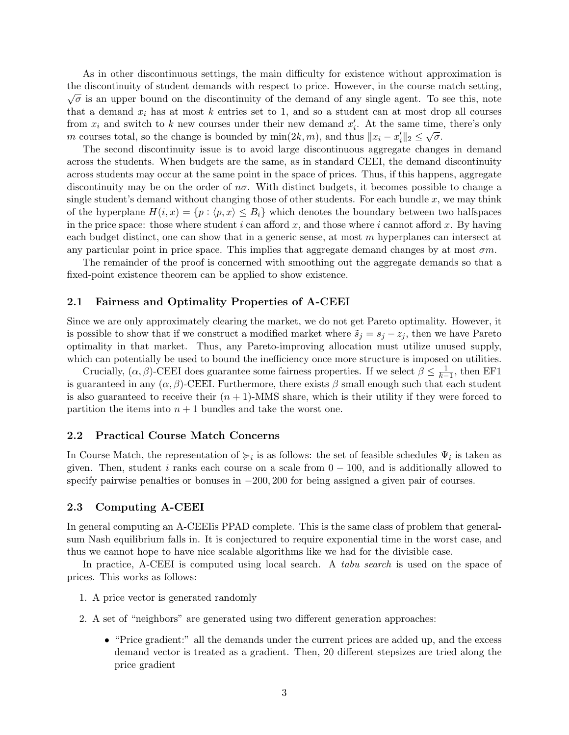As in other discontinuous settings, the main difficulty for existence without approximation is the discontinuity of student demands with respect to price. However, in the course match setting,  $\sqrt{\sigma}$  is an upper bound on the discontinuity of the demand of any single agent. To see this, note that a demand  $x_i$  has at most k entries set to 1, and so a student can at most drop all courses from  $x_i$  and switch to k new courses under their new demand  $x'_i$ . At the same time, there's only m courses total, so the change is bounded by  $\min(2k, m)$ , and thus  $||x_i - x'_i||_2 \le \sqrt{\sigma}$ .

The second discontinuity issue is to avoid large discontinuous aggregate changes in demand across the students. When budgets are the same, as in standard CEEI, the demand discontinuity across students may occur at the same point in the space of prices. Thus, if this happens, aggregate discontinuity may be on the order of  $n\sigma$ . With distinct budgets, it becomes possible to change a single student's demand without changing those of other students. For each bundle  $x$ , we may think of the hyperplane  $H(i, x) = \{p : \langle p, x \rangle \leq B_i\}$  which denotes the boundary between two halfspaces in the price space: those where student i can afford x, and those where i cannot afford x. By having each budget distinct, one can show that in a generic sense, at most  $m$  hyperplanes can intersect at any particular point in price space. This implies that aggregate demand changes by at most  $\sigma m$ .

The remainder of the proof is concerned with smoothing out the aggregate demands so that a fixed-point existence theorem can be applied to show existence.

#### 2.1 Fairness and Optimality Properties of A-CEEI

Since we are only approximately clearing the market, we do not get Pareto optimality. However, it is possible to show that if we construct a modified market where  $\tilde{s}_j = s_j - z_j$ , then we have Pareto optimality in that market. Thus, any Pareto-improving allocation must utilize unused supply, which can potentially be used to bound the inefficiency once more structure is imposed on utilities.

Crucially,  $(\alpha, \beta)$ -CEEI does guarantee some fairness properties. If we select  $\beta \leq \frac{1}{k-1}$ , then EF1 is guaranteed in any  $(\alpha, \beta)$ -CEEI. Furthermore, there exists  $\beta$  small enough such that each student is also guaranteed to receive their  $(n + 1)$ -MMS share, which is their utility if they were forced to partition the items into  $n + 1$  bundles and take the worst one.

#### 2.2 Practical Course Match Concerns

In Course Match, the representation of  $\succcurlyeq_i$  is as follows: the set of feasible schedules  $\Psi_i$  is taken as given. Then, student i ranks each course on a scale from  $0 - 100$ , and is additionally allowed to specify pairwise penalties or bonuses in  $-200, 200$  for being assigned a given pair of courses.

#### 2.3 Computing A-CEEI

In general computing an A-CEEIis PPAD complete. This is the same class of problem that generalsum Nash equilibrium falls in. It is conjectured to require exponential time in the worst case, and thus we cannot hope to have nice scalable algorithms like we had for the divisible case.

In practice, A-CEEI is computed using local search. A *tabu search* is used on the space of prices. This works as follows:

- 1. A price vector is generated randomly
- 2. A set of "neighbors" are generated using two different generation approaches:
	- "Price gradient:" all the demands under the current prices are added up, and the excess demand vector is treated as a gradient. Then, 20 different stepsizes are tried along the price gradient